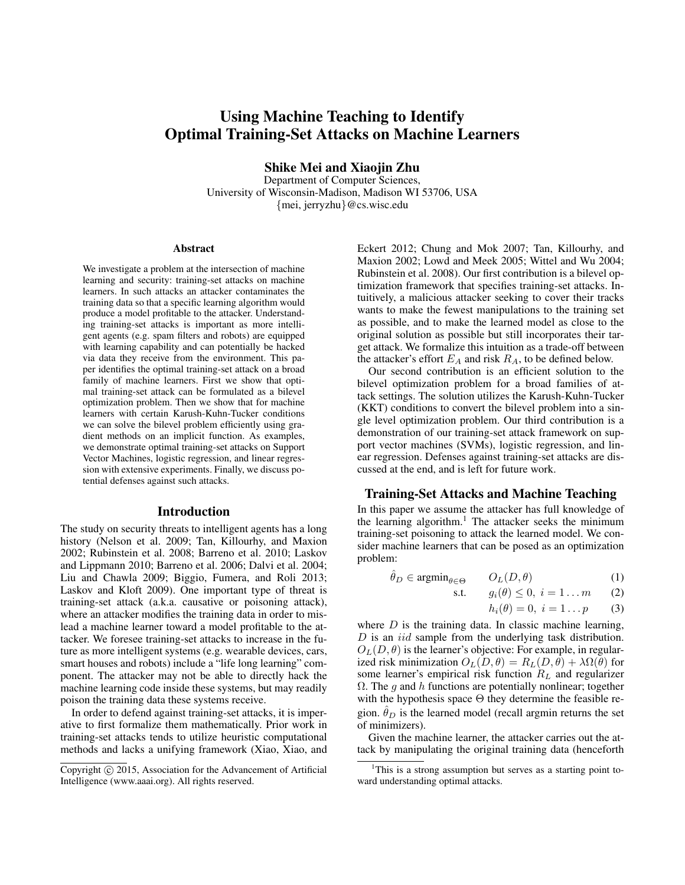# Using Machine Teaching to Identify Optimal Training-Set Attacks on Machine Learners

Shike Mei and Xiaojin Zhu

Department of Computer Sciences, University of Wisconsin-Madison, Madison WI 53706, USA {mei, jerryzhu}@cs.wisc.edu

#### Abstract

We investigate a problem at the intersection of machine learning and security: training-set attacks on machine learners. In such attacks an attacker contaminates the training data so that a specific learning algorithm would produce a model profitable to the attacker. Understanding training-set attacks is important as more intelligent agents (e.g. spam filters and robots) are equipped with learning capability and can potentially be hacked via data they receive from the environment. This paper identifies the optimal training-set attack on a broad family of machine learners. First we show that optimal training-set attack can be formulated as a bilevel optimization problem. Then we show that for machine learners with certain Karush-Kuhn-Tucker conditions we can solve the bilevel problem efficiently using gradient methods on an implicit function. As examples, we demonstrate optimal training-set attacks on Support Vector Machines, logistic regression, and linear regression with extensive experiments. Finally, we discuss potential defenses against such attacks.

## Introduction

The study on security threats to intelligent agents has a long history (Nelson et al. 2009; Tan, Killourhy, and Maxion 2002; Rubinstein et al. 2008; Barreno et al. 2010; Laskov and Lippmann 2010; Barreno et al. 2006; Dalvi et al. 2004; Liu and Chawla 2009; Biggio, Fumera, and Roli 2013; Laskov and Kloft 2009). One important type of threat is training-set attack (a.k.a. causative or poisoning attack), where an attacker modifies the training data in order to mislead a machine learner toward a model profitable to the attacker. We foresee training-set attacks to increase in the future as more intelligent systems (e.g. wearable devices, cars, smart houses and robots) include a "life long learning" component. The attacker may not be able to directly hack the machine learning code inside these systems, but may readily poison the training data these systems receive.

In order to defend against training-set attacks, it is imperative to first formalize them mathematically. Prior work in training-set attacks tends to utilize heuristic computational methods and lacks a unifying framework (Xiao, Xiao, and Eckert 2012; Chung and Mok 2007; Tan, Killourhy, and Maxion 2002; Lowd and Meek 2005; Wittel and Wu 2004; Rubinstein et al. 2008). Our first contribution is a bilevel optimization framework that specifies training-set attacks. Intuitively, a malicious attacker seeking to cover their tracks wants to make the fewest manipulations to the training set as possible, and to make the learned model as close to the original solution as possible but still incorporates their target attack. We formalize this intuition as a trade-off between the attacker's effort  $E_A$  and risk  $R_A$ , to be defined below.

Our second contribution is an efficient solution to the bilevel optimization problem for a broad families of attack settings. The solution utilizes the Karush-Kuhn-Tucker (KKT) conditions to convert the bilevel problem into a single level optimization problem. Our third contribution is a demonstration of our training-set attack framework on support vector machines (SVMs), logistic regression, and linear regression. Defenses against training-set attacks are discussed at the end, and is left for future work.

## Training-Set Attacks and Machine Teaching

In this paper we assume the attacker has full knowledge of the learning algorithm.<sup>1</sup> The attacker seeks the minimum training-set poisoning to attack the learned model. We consider machine learners that can be posed as an optimization problem:

$$
\hat{\theta}_D \in \operatorname{argmin}_{\theta \in \Theta} \qquad O_L(D, \theta) \tag{1}
$$

$$
\text{s.t.} \qquad g_i(\theta) \leq 0, \ i = 1 \dots m \qquad (2)
$$

$$
h_i(\theta) = 0, \ i = 1 \dots p \qquad (3)
$$

where  $D$  is the training data. In classic machine learning, D is an *iid* sample from the underlying task distribution.  $O<sub>L</sub>(D, \theta)$  is the learner's objective: For example, in regularized risk minimization  $O_L(D, \theta) = R_L(D, \theta) + \lambda \Omega(\theta)$  for some learner's empirical risk function  $R<sub>L</sub>$  and regularizer  $\Omega$ . The g and h functions are potentially nonlinear; together with the hypothesis space Θ they determine the feasible region.  $\hat{\theta}_D$  is the learned model (recall argmin returns the set of minimizers).

Given the machine learner, the attacker carries out the attack by manipulating the original training data (henceforth

Copyright (c) 2015, Association for the Advancement of Artificial Intelligence (www.aaai.org). All rights reserved.

<sup>1</sup>This is a strong assumption but serves as a starting point toward understanding optimal attacks.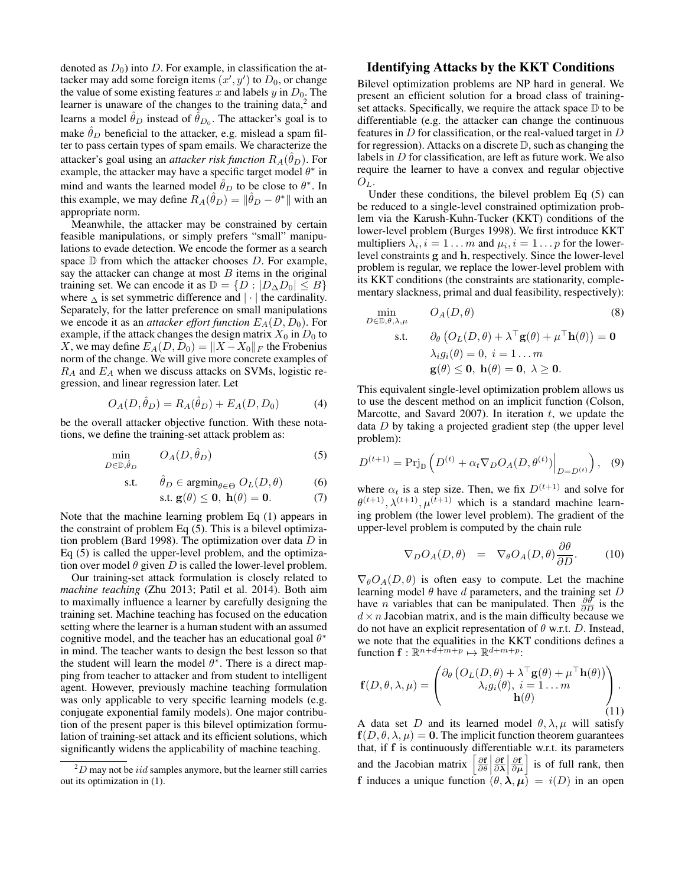denoted as  $D_0$ ) into D. For example, in classification the attacker may add some foreign items  $(x', y')$  to  $D_0$ , or change the value of some existing features x and labels y in  $D_0$ . The learner is unaware of the changes to the training data, $2$  and learns a model  $\hat{\theta}_D$  instead of  $\hat{\theta}_{D_0}$ . The attacker's goal is to make  $\hat{\theta}_D$  beneficial to the attacker, e.g. mislead a spam filter to pass certain types of spam emails. We characterize the attacker's goal using an *attacker risk function*  $R_A(\hat{\theta}_D)$ . For example, the attacker may have a specific target model  $\theta^*$  in mind and wants the learned model  $\hat{\theta}_D$  to be close to  $\theta^*$ . In this example, we may define  $R_A(\hat{\theta}_D) = \|\hat{\theta}_D - \theta^*\|$  with an appropriate norm.

Meanwhile, the attacker may be constrained by certain feasible manipulations, or simply prefers "small" manipulations to evade detection. We encode the former as a search space  $D$  from which the attacker chooses  $D$ . For example, say the attacker can change at most  $B$  items in the original training set. We can encode it as  $D = \{D : |D_{\Delta}D_0| \leq B\}$ where  $\Delta$  is set symmetric difference and  $|\cdot|$  the cardinality. Separately, for the latter preference on small manipulations we encode it as an *attacker effort function*  $E_A(D, D_0)$ . For example, if the attack changes the design matrix  $X_0$  in  $D_0$  to X, we may define  $E_A(D, D_0) = ||X - X_0||_F$  the Frobenius norm of the change. We will give more concrete examples of  $R_A$  and  $E_A$  when we discuss attacks on SVMs, logistic regression, and linear regression later. Let

$$
O_A(D, \hat{\theta}_D) = R_A(\hat{\theta}_D) + E_A(D, D_0)
$$
 (4)

be the overall attacker objective function. With these notations, we define the training-set attack problem as:

$$
\min_{D \in \mathbb{D}, \hat{\theta}_D} \qquad O_A(D, \hat{\theta}_D) \tag{5}
$$

$$
\text{s.t.} \qquad \hat{\theta}_D \in \text{argmin}_{\theta \in \Theta} \ O_L(D, \theta) \tag{6}
$$

$$
\text{s.t. } \mathbf{g}(\theta) \le \mathbf{0}, \ \mathbf{h}(\theta) = \mathbf{0}.\tag{7}
$$

Note that the machine learning problem Eq (1) appears in the constraint of problem Eq (5). This is a bilevel optimization problem (Bard 1998). The optimization over data  $D$  in Eq (5) is called the upper-level problem, and the optimization over model  $\theta$  given D is called the lower-level problem.

Our training-set attack formulation is closely related to *machine teaching* (Zhu 2013; Patil et al. 2014). Both aim to maximally influence a learner by carefully designing the training set. Machine teaching has focused on the education setting where the learner is a human student with an assumed cognitive model, and the teacher has an educational goal  $\theta^*$ in mind. The teacher wants to design the best lesson so that the student will learn the model  $\theta^*$ . There is a direct mapping from teacher to attacker and from student to intelligent agent. However, previously machine teaching formulation was only applicable to very specific learning models (e.g. conjugate exponential family models). One major contribution of the present paper is this bilevel optimization formulation of training-set attack and its efficient solutions, which significantly widens the applicability of machine teaching.

## Identifying Attacks by the KKT Conditions

Bilevel optimization problems are NP hard in general. We present an efficient solution for a broad class of trainingset attacks. Specifically, we require the attack space  $D$  to be differentiable (e.g. the attacker can change the continuous features in  $D$  for classification, or the real-valued target in  $D$ for regression). Attacks on a discrete  $\mathbb{D}$ , such as changing the labels in D for classification, are left as future work. We also require the learner to have a convex and regular objective  $O_L$ .

Under these conditions, the bilevel problem Eq (5) can be reduced to a single-level constrained optimization problem via the Karush-Kuhn-Tucker (KKT) conditions of the lower-level problem (Burges 1998). We first introduce KKT multipliers  $\lambda_i$ ,  $i = 1 \dots m$  and  $\mu_i$ ,  $i = 1 \dots p$  for the lowerlevel constraints g and h, respectively. Since the lower-level problem is regular, we replace the lower-level problem with its KKT conditions (the constraints are stationarity, complementary slackness, primal and dual feasibility, respectively):

$$
\min_{D \in \mathbb{D}, \theta, \lambda, \mu} \quad O_A(D, \theta) \tag{8}
$$
\n
$$
\text{s.t.} \quad \partial_{\theta} \left( O_L(D, \theta) + \lambda^{\top} \mathbf{g}(\theta) + \mu^{\top} \mathbf{h}(\theta) \right) = \mathbf{0}
$$
\n
$$
\lambda_i g_i(\theta) = 0, \ i = 1 \dots m
$$
\n
$$
\mathbf{g}(\theta) \leq \mathbf{0}, \ \mathbf{h}(\theta) = \mathbf{0}, \ \lambda \geq \mathbf{0}.
$$

This equivalent single-level optimization problem allows us to use the descent method on an implicit function (Colson, Marcotte, and Savard 2007). In iteration  $t$ , we update the data D by taking a projected gradient step (the upper level problem):

$$
D^{(t+1)} = \text{Prj}_{\mathbb{D}}\left(D^{(t)} + \alpha_t \nabla_D O_A(D, \theta^{(t)})\Big|_{D = D^{(t)}}\right), \quad (9)
$$

where  $\alpha_t$  is a step size. Then, we fix  $D^{(t+1)}$  and solve for  $\theta^{(t+1)}, \lambda^{(t+1)}, \mu^{(t+1)}$  which is a standard machine learning problem (the lower level problem). The gradient of the upper-level problem is computed by the chain rule

$$
\nabla_D O_A(D,\theta) = \nabla_\theta O_A(D,\theta) \frac{\partial \theta}{\partial D}.
$$
 (10)

 $\nabla_{\theta}O_{A}(D, \theta)$  is often easy to compute. Let the machine learning model  $\theta$  have  $d$  parameters, and the training set  $D$ have *n* variables that can be manipulated. Then  $\frac{\partial \vec{\theta}}{\partial D}$  is the  $d \times n$  Jacobian matrix, and is the main difficulty because we do not have an explicit representation of  $\theta$  w.r.t. D. Instead, we note that the equalities in the KKT conditions defines a function  $\mathbf{f}: \mathbb{R}^{n+d+m+p} \mapsto \mathbb{R}^{d+m+p}$ :

$$
\mathbf{f}(D,\theta,\lambda,\mu) = \begin{pmatrix} \partial_{\theta} \left( O_L(D,\theta) + \lambda^{\top} \mathbf{g}(\theta) + \mu^{\top} \mathbf{h}(\theta) \right) \\ \lambda_i g_i(\theta), \ i = 1 \dots m \\ \mathbf{h}(\theta) \end{pmatrix} .
$$
\n(11)

A data set D and its learned model  $\theta$ ,  $\lambda$ ,  $\mu$  will satisfy  $f(D, \theta, \lambda, \mu) = 0$ . The implicit function theorem guarantees that, if f is continuously differentiable w.r.t. its parameters and the Jacobian matrix  $\left[\frac{\partial \mathbf{f}}{\partial \theta}\right]$  $\frac{\partial \mathbf{f}}{\partial \mathbf{\lambda}}$  $\frac{\partial \mathbf{f}}{\partial \mu}$  is of full rank, then f induces a unique function  $(\theta, \lambda, \mu) = i(D)$  in an open

 $^{2}D$  may not be *iid* samples anymore, but the learner still carries out its optimization in (1).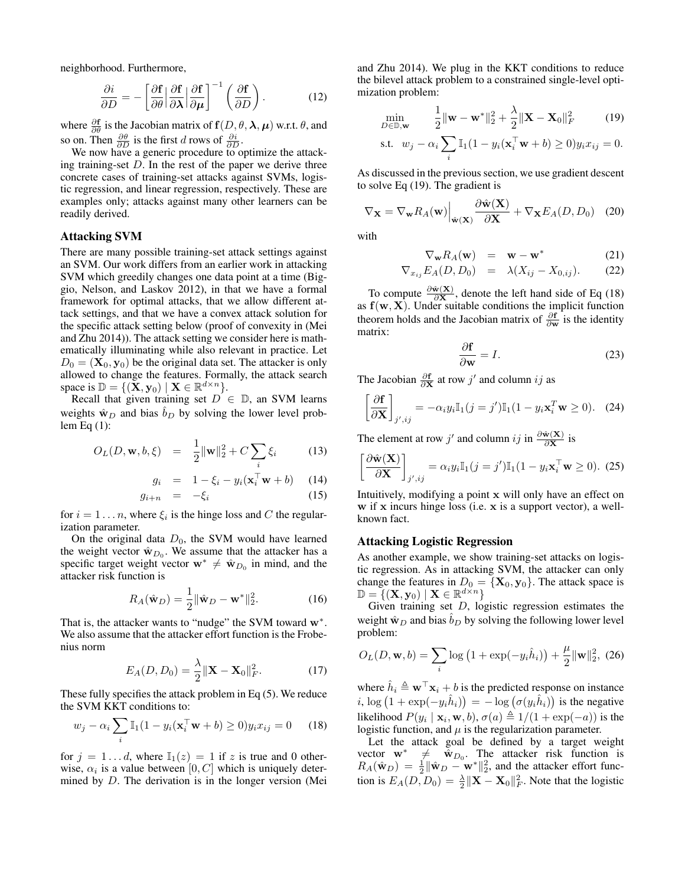neighborhood. Furthermore,

$$
\frac{\partial i}{\partial D} = -\left[\frac{\partial \mathbf{f}}{\partial \theta} \middle| \frac{\partial \mathbf{f}}{\partial \lambda} \middle| \frac{\partial \mathbf{f}}{\partial \mu} \right]^{-1} \left(\frac{\partial \mathbf{f}}{\partial D} \right). \tag{12}
$$

where  $\frac{\partial \mathbf{f}}{\partial \theta}$  is the Jacobian matrix of  $\mathbf{f}(D, \theta, \lambda, \mu)$  w.r.t.  $\theta$ , and so on. Then  $\frac{\partial \theta}{\partial D}$  is the first d rows of  $\frac{\partial i}{\partial D}$ .

We now have a generic procedure to optimize the attacking training-set  $D$ . In the rest of the paper we derive three concrete cases of training-set attacks against SVMs, logistic regression, and linear regression, respectively. These are examples only; attacks against many other learners can be readily derived.

## Attacking SVM

There are many possible training-set attack settings against an SVM. Our work differs from an earlier work in attacking SVM which greedily changes one data point at a time (Biggio, Nelson, and Laskov 2012), in that we have a formal framework for optimal attacks, that we allow different attack settings, and that we have a convex attack solution for the specific attack setting below (proof of convexity in (Mei and Zhu 2014)). The attack setting we consider here is mathematically illuminating while also relevant in practice. Let  $D_0 = (\mathbf{X}_0, \mathbf{y}_0)$  be the original data set. The attacker is only allowed to change the features. Formally, the attack search space is  $\mathbb{D} = \{ (\mathbf{X}, \mathbf{y}_0) \mid \mathbf{X} \in \mathbb{R}^{d \times n} \}.$ 

Recall that given training set  $D \in \mathbb{D}$ , an SVM learns weights  $\hat{w}_D$  and bias  $b_D$  by solving the lower level problem Eq (1):

$$
O_L(D, \mathbf{w}, b, \xi) = \frac{1}{2} ||\mathbf{w}||_2^2 + C \sum_i \xi_i
$$
 (13)

$$
g_i = 1 - \xi_i - y_i(\mathbf{x}_i^{\top} \mathbf{w} + b)
$$
 (14)  

$$
g_{i+n} = -\xi_i
$$
 (15)

for  $i = 1 \dots n$ , where  $\xi_i$  is the hinge loss and C the regularization parameter.

On the original data  $D_0$ , the SVM would have learned the weight vector  $\hat{w}_{D_0}$ . We assume that the attacker has a specific target weight vector  $w^* \neq \hat{w}_{D_0}$  in mind, and the attacker risk function is

$$
R_A(\hat{\mathbf{w}}_D) = \frac{1}{2} ||\hat{\mathbf{w}}_D - \mathbf{w}^*||_2^2.
$$
 (16)

That is, the attacker wants to "nudge" the SVM toward w<sup>\*</sup>. We also assume that the attacker effort function is the Frobenius norm

$$
E_A(D, D_0) = \frac{\lambda}{2} ||\mathbf{X} - \mathbf{X}_0||_F^2.
$$
 (17)

These fully specifies the attack problem in Eq (5). We reduce the SVM KKT conditions to:

$$
w_j - \alpha_i \sum_i \mathbb{I}_1(1 - y_i(\mathbf{x}_i^{\top}\mathbf{w} + b) \ge 0) y_i x_{ij} = 0 \quad (18)
$$

for  $j = 1...d$ , where  $\mathbb{I}_1(z) = 1$  if z is true and 0 otherwise,  $\alpha_i$  is a value between  $[0, C]$  which is uniquely determined by D. The derivation is in the longer version (Mei

and Zhu 2014). We plug in the KKT conditions to reduce the bilevel attack problem to a constrained single-level optimization problem:

$$
\min_{D \in \mathbb{D}, \mathbf{w}} \qquad \frac{1}{2} \|\mathbf{w} - \mathbf{w}^*\|_2^2 + \frac{\lambda}{2} \|\mathbf{X} - \mathbf{X}_0\|_F^2 \tag{19}
$$

$$
\text{s.t. } w_j - \alpha_i \sum_i \mathbb{I}_1(1 - y_i(\mathbf{x}_i^{\top}\mathbf{w} + b) \ge 0) y_i x_{ij} = 0.
$$

As discussed in the previous section, we use gradient descent to solve Eq (19). The gradient is

$$
\nabla_{\mathbf{X}} = \nabla_{\mathbf{w}} R_A(\mathbf{w}) \Big|_{\hat{\mathbf{w}}(\mathbf{X})} \frac{\partial \hat{\mathbf{w}}(\mathbf{X})}{\partial \mathbf{X}} + \nabla_{\mathbf{X}} E_A(D, D_0) \quad (20)
$$

with

$$
\nabla_{\mathbf{w}} R_A(\mathbf{w}) = \mathbf{w} - \mathbf{w}^* \tag{21}
$$

$$
\nabla_{x_{ij}} E_A(D, D_0) = \lambda (X_{ij} - X_{0,ij}). \tag{22}
$$

To compute  $\frac{\partial \hat{\mathbf{w}}(\mathbf{X})}{\partial \mathbf{X}}$ , denote the left hand side of Eq (18) as  $f(w, X)$ . Under suitable conditions the implicit function theorem holds and the Jacobian matrix of  $\frac{\partial f}{\partial w}$  is the identity matrix:

$$
\frac{\partial \mathbf{f}}{\partial \mathbf{w}} = I. \tag{23}
$$

The Jacobian  $\frac{\partial \mathbf{f}}{\partial \mathbf{X}}$  at row j' and column ij as

$$
\left[\frac{\partial \mathbf{f}}{\partial \mathbf{X}}\right]_{j',ij} = -\alpha_i y_i \mathbb{I}_1(j=j') \mathbb{I}_1(1 - y_i \mathbf{x}_i^T \mathbf{w} \ge 0). \quad (24)
$$

The element at row j' and column ij in  $\frac{\partial \hat{\mathbf{w}}(\mathbf{X})}{\partial \mathbf{X}}$  is

$$
\left[\frac{\partial \hat{\mathbf{w}}(\mathbf{X})}{\partial \mathbf{X}}\right]_{j',ij} = \alpha_i y_i \mathbb{I}_1(j=j') \mathbb{I}_1(1 - y_i \mathbf{x}_i^{\top} \mathbf{w} \ge 0). \tag{25}
$$

Intuitively, modifying a point x will only have an effect on w if x incurs hinge loss (i.e. x is a support vector), a wellknown fact.

## Attacking Logistic Regression

As another example, we show training-set attacks on logistic regression. As in attacking SVM, the attacker can only change the features in  $D_0 = \{X_0, y_0\}$ . The attack space is  $\mathbb{D} = \{ (\mathbf{X}, \mathbf{y}_0) \mid \mathbf{X} \in \mathbb{R}^{d \times n} \}$ 

Given training set  $D$ , logistic regression estimates the weight  $\hat{w}_D$  and bias  $b_D$  by solving the following lower level problem:

$$
O_L(D, \mathbf{w}, b) = \sum_{i} \log (1 + \exp(-y_i \hat{h}_i)) + \frac{\mu}{2} ||\mathbf{w}||_2^2, (26)
$$

where  $\hat{h}_i \triangleq \mathbf{w}^\top \mathbf{x}_i + b$  is the predicted response on instance i,  $\log (1 + \exp(-y_i \hat{h}_i)) = -\log (\sigma(y_i \hat{h}_i))$  is the negative likelihood  $P(y_i | \mathbf{x}_i, \mathbf{w}, b), \sigma(a) \triangleq 1/(1 + \exp(-a))$  is the logistic function, and  $\mu$  is the regularization parameter.

Let the attack goal be defined by a target weight vector  $\mathbf{w}^* \neq \hat{\mathbf{w}}_{D_0}$ . The attacker risk function is  $R_A(\hat{\mathbf{w}}_D) = \frac{1}{2} ||\hat{\mathbf{w}}_D - \mathbf{w}^*||_2^2$ , and the attacker effort function is  $E_A(D, D_0) = \frac{\lambda}{2} ||\mathbf{X} - \mathbf{X}_0||_F^2$ . Note that the logistic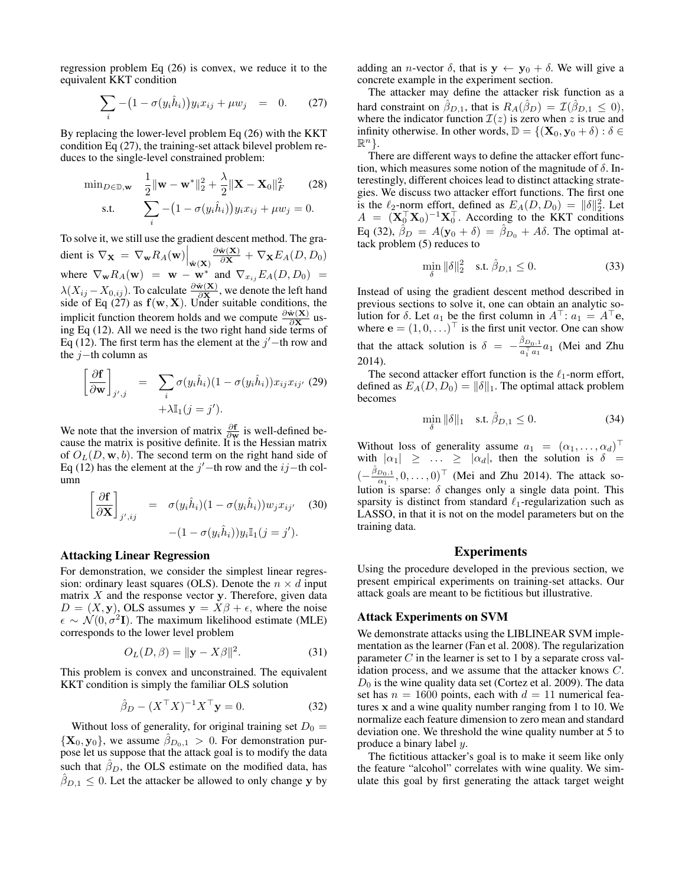regression problem Eq (26) is convex, we reduce it to the equivalent KKT condition

$$
\sum_{i} -\left(1 - \sigma(y_i \hat{h}_i)\right) y_i x_{ij} + \mu w_j = 0. \tag{27}
$$

By replacing the lower-level problem Eq (26) with the KKT condition Eq (27), the training-set attack bilevel problem reduces to the single-level constrained problem:

$$
\min_{D \in \mathbb{D}, \mathbf{w}} \quad \frac{1}{2} \|\mathbf{w} - \mathbf{w}^*\|_2^2 + \frac{\lambda}{2} \|\mathbf{X} - \mathbf{X}_0\|_F^2 \qquad (28)
$$
  
s.t. 
$$
\sum_i -(1 - \sigma(y_i \hat{h}_i)) y_i x_{ij} + \mu w_j = 0.
$$

To solve it, we still use the gradient descent method. The gradient is  $\nabla_{\mathbf{X}} = \nabla_{\mathbf{w}} R_{A}(\mathbf{w})\Big|_{\hat{\mathbf{w}}(\mathbf{X})}$  $\frac{\partial \hat{\mathbf{w}}(\mathbf{X})}{\partial \mathbf{X}}+\nabla_{\mathbf{X}}E_A(D,D_0)$ where  $\nabla_{\mathbf{w}} R_A(\mathbf{w}) = \mathbf{w} - \mathbf{w}^*$  and  $\nabla_{x_{ij}} E_A(D, D_0) =$  $\lambda(X_{ij} - X_{0,ij})$ . To calculate  $\frac{\partial \hat{w}(X)}{\partial X}$ , we denote the left hand side of Eq (27) as  $f(w, X)$ . Under suitable conditions, the implicit function theorem holds and we compute  $\frac{\partial \hat{w}(X)}{\partial X}$  using Eq  $(12)$ . All we need is the two right hand side terms of Eq (12). The first term has the element at the  $j'$  -th row and the  $j$ −th column as

$$
\left[\frac{\partial \mathbf{f}}{\partial \mathbf{w}}\right]_{j',j} = \sum_{i} \sigma(y_i \hat{h}_i) (1 - \sigma(y_i \hat{h}_i)) x_{ij} x_{ij'} \tag{29} + \lambda \mathbb{I}_1 (j = j').
$$

We note that the inversion of matrix  $\frac{\partial f}{\partial w}$  is well-defined because the matrix is positive definite. It is the Hessian matrix of  $O_L(D, \mathbf{w}, b)$ . The second term on the right hand side of Eq (12) has the element at the j'-th row and the ij-th column

$$
\left[\frac{\partial \mathbf{f}}{\partial \mathbf{X}}\right]_{j',ij} = \sigma(y_i \hat{h}_i)(1 - \sigma(y_i \hat{h}_i))w_j x_{ij'} \quad (30)
$$

$$
-(1 - \sigma(y_i \hat{h}_i))y_i \mathbb{I}_1(j = j').
$$

#### Attacking Linear Regression

For demonstration, we consider the simplest linear regression: ordinary least squares (OLS). Denote the  $n \times d$  input matrix  $X$  and the response vector  $y$ . Therefore, given data  $D = (X, y)$ , OLS assumes  $y = X\beta + \epsilon$ , where the noise  $\epsilon \sim \mathcal{N}(0, \sigma^2 \mathbf{I})$ . The maximum likelihood estimate (MLE) corresponds to the lower level problem

$$
O_L(D, \beta) = \|\mathbf{y} - X\beta\|^2. \tag{31}
$$

This problem is convex and unconstrained. The equivalent KKT condition is simply the familiar OLS solution

$$
\hat{\beta}_D - (X^\top X)^{-1} X^\top \mathbf{y} = 0.
$$
 (32)

Without loss of generality, for original training set  $D_0 =$  ${X_0, y_0}$ , we assume  $\beta_{D_0,1} > 0$ . For demonstration purpose let us suppose that the attack goal is to modify the data such that  $\hat{\beta}_D$ , the OLS estimate on the modified data, has  $\hat{\beta}_{D,1} \leq 0$ . Let the attacker be allowed to only change y by adding an *n*-vector  $\delta$ , that is  $y \leftarrow y_0 + \delta$ . We will give a concrete example in the experiment section.

The attacker may define the attacker risk function as a hard constraint on  $\hat{\beta}_{D,1}$ , that is  $R_A(\hat{\beta}_D) = \mathcal{I}(\hat{\beta}_{D,1} \le 0)$ , where the indicator function  $\mathcal{I}(z)$  is zero when z is true and infinity otherwise. In other words,  $\mathbb{D} = \{(\mathbf{X}_0, \mathbf{y}_0 + \delta) : \delta \in$  $\mathbb{R}^n$ .

There are different ways to define the attacker effort function, which measures some notion of the magnitude of  $\delta$ . Interestingly, different choices lead to distinct attacking strategies. We discuss two attacker effort functions. The first one is the  $\ell_2$ -norm effort, defined as  $E_A(D, D_0) = ||\delta||_2^2$ . Let  $A = (\mathbf{X}_0^\top \mathbf{X}_0)^{-1} \mathbf{X}_0^\top$ . According to the KKT conditions Eq (32),  $\hat{\beta}_D = A(\mathbf{y}_0 + \delta) = \hat{\beta}_{D_0} + A\delta$ . The optimal attack problem (5) reduces to

$$
\min_{\delta} \|\delta\|_2^2 \quad \text{s.t. } \hat{\beta}_{D,1} \le 0. \tag{33}
$$

Instead of using the gradient descent method described in previous sections to solve it, one can obtain an analytic solution for  $\delta$ . Let  $a_1$  be the first column in  $A^{\top}$ :  $a_1 = A^{\top}$ e, where  $\mathbf{e} = (1, 0, \ldots)^\top$  is the first unit vector. One can show that the attack solution is  $\delta = -\frac{\hat{\beta}_{D_0,1}}{a_1^{\top} a_1} a_1$  (Mei and Zhu 2014).

The second attacker effort function is the  $\ell_1$ -norm effort, defined as  $E_A(D, D_0) = ||\delta||_1$ . The optimal attack problem becomes

$$
\min_{\delta} \|\delta\|_1 \quad \text{s.t. } \hat{\beta}_{D,1} \le 0. \tag{34}
$$

Without loss of generality assume  $a_1 = (\alpha_1, \dots, \alpha_d)^\top$ with  $|\alpha_1| \geq \ldots \geq |\alpha_d|$ , then the solution is  $\delta =$  $\left(-\frac{\hat{\beta}_{D_0,1}}{\alpha_1},0,\ldots,0\right)^{\top}$  (Mei and Zhu 2014). The attack solution is sparse:  $\delta$  changes only a single data point. This sparsity is distinct from standard  $\ell_1$ -regularization such as LASSO, in that it is not on the model parameters but on the training data.

## Experiments

Using the procedure developed in the previous section, we present empirical experiments on training-set attacks. Our attack goals are meant to be fictitious but illustrative.

### Attack Experiments on SVM

We demonstrate attacks using the LIBLINEAR SVM implementation as the learner (Fan et al. 2008). The regularization parameter  $C$  in the learner is set to 1 by a separate cross validation process, and we assume that the attacker knows C.  $D_0$  is the wine quality data set (Cortez et al. 2009). The data set has  $n = 1600$  points, each with  $d = 11$  numerical features x and a wine quality number ranging from 1 to 10. We normalize each feature dimension to zero mean and standard deviation one. We threshold the wine quality number at 5 to produce a binary label y.

The fictitious attacker's goal is to make it seem like only the feature "alcohol" correlates with wine quality. We simulate this goal by first generating the attack target weight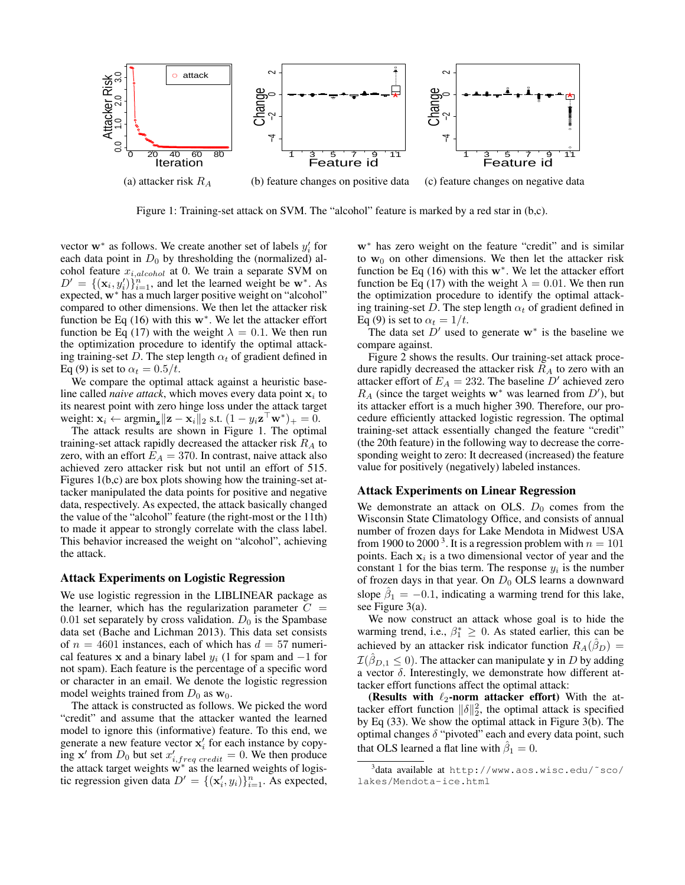

Figure 1: Training-set attack on SVM. The "alcohol" feature is marked by a red star in (b,c).

vector  $w^*$  as follows. We create another set of labels  $y'_i$  for each data point in  $D_0$  by thresholding the (normalized) alcohol feature  $x_{i,alcohol}$  at 0. We train a separate SVM on  $D' = \{(\mathbf{x}_i, y'_i)\}_{i=1}^n$ , and let the learned weight be w<sup>\*</sup>. As expected, w<sup>∗</sup> has a much larger positive weight on "alcohol" compared to other dimensions. We then let the attacker risk function be Eq  $(16)$  with this w<sup>\*</sup>. We let the attacker effort function be Eq (17) with the weight  $\lambda = 0.1$ . We then run the optimization procedure to identify the optimal attacking training-set D. The step length  $\alpha_t$  of gradient defined in Eq (9) is set to  $\alpha_t = 0.5/t$ .

We compare the optimal attack against a heuristic baseline called *naive attack*, which moves every data point  $x_i$  to its nearest point with zero hinge loss under the attack target weight:  $\mathbf{x}_i \leftarrow \operatorname{argmin}_{\mathbf{z}} \|\mathbf{z} - \mathbf{x}_i\|_2 \text{ s.t. } (1 - y_i \mathbf{z}^\top \mathbf{w}^*)_+ = 0.$ 

The attack results are shown in Figure 1. The optimal training-set attack rapidly decreased the attacker risk  $R_A$  to zero, with an effort  $E_A = 370$ . In contrast, naive attack also achieved zero attacker risk but not until an effort of 515. Figures 1(b,c) are box plots showing how the training-set attacker manipulated the data points for positive and negative data, respectively. As expected, the attack basically changed the value of the "alcohol" feature (the right-most or the 11th) to made it appear to strongly correlate with the class label. This behavior increased the weight on "alcohol", achieving the attack.

## Attack Experiments on Logistic Regression

We use logistic regression in the LIBLINEAR package as the learner, which has the regularization parameter  $C =$ 0.01 set separately by cross validation.  $D_0$  is the Spambase data set (Bache and Lichman 2013). This data set consists of  $n = 4601$  instances, each of which has  $d = 57$  numerical features x and a binary label  $y_i$  (1 for spam and  $-1$  for not spam). Each feature is the percentage of a specific word or character in an email. We denote the logistic regression model weights trained from  $D_0$  as  $w_0$ .

The attack is constructed as follows. We picked the word "credit" and assume that the attacker wanted the learned model to ignore this (informative) feature. To this end, we generate a new feature vector  $x_i'$  for each instance by copying  $x'$  from  $D_0$  but set  $x'_{i,freq\, credit} = 0$ . We then produce the attack target weights w<sup>∗</sup> as the learned weights of logistic regression given data  $D' = \{(\mathbf{x}'_i, y_i)\}_{i=1}^n$ . As expected,

w<sup>∗</sup> has zero weight on the feature "credit" and is similar to  $w_0$  on other dimensions. We then let the attacker risk function be Eq  $(16)$  with this w<sup>\*</sup>. We let the attacker effort function be Eq (17) with the weight  $\lambda = 0.01$ . We then run the optimization procedure to identify the optimal attacking training-set D. The step length  $\alpha_t$  of gradient defined in Eq (9) is set to  $\alpha_t = 1/t$ .

The data set  $D'$  used to generate  $w^*$  is the baseline we compare against.

Figure 2 shows the results. Our training-set attack procedure rapidly decreased the attacker risk  $R_A$  to zero with an attacker effort of  $E_A = 232$ . The baseline D' achieved zero  $R_A$  (since the target weights w<sup>\*</sup> was learned from  $D'$ ), but its attacker effort is a much higher 390. Therefore, our procedure efficiently attacked logistic regression. The optimal training-set attack essentially changed the feature "credit" (the 20th feature) in the following way to decrease the corresponding weight to zero: It decreased (increased) the feature value for positively (negatively) labeled instances.

## Attack Experiments on Linear Regression

We demonstrate an attack on OLS.  $D_0$  comes from the Wisconsin State Climatology Office, and consists of annual number of frozen days for Lake Mendota in Midwest USA from 1900 to 2000<sup>3</sup>. It is a regression problem with  $n = 101$ points. Each  $x_i$  is a two dimensional vector of year and the constant 1 for the bias term. The response  $y_i$  is the number of frozen days in that year. On  $D_0$  OLS learns a downward slope  $\hat{\beta}_1 = -0.1$ , indicating a warming trend for this lake, see Figure 3(a).

We now construct an attack whose goal is to hide the warming trend, i.e.,  $\beta_1^* \geq 0$ . As stated earlier, this can be achieved by an attacker risk indicator function  $R_A(\hat{\beta}_D)$  =  $\mathcal{I}(\hat{\beta}_{D,1} \leq 0)$ . The attacker can manipulate y in D by adding a vector  $\delta$ . Interestingly, we demonstrate how different attacker effort functions affect the optimal attack:

(Results with  $\ell_2$ -norm attacker effort) With the attacker effort function  $\|\delta\|_2^2$ , the optimal attack is specified by Eq (33). We show the optimal attack in Figure 3(b). The optimal changes  $\delta$  "pivoted" each and every data point, such that OLS learned a flat line with  $\hat{\beta}_1 = 0$ .

<sup>3</sup> data available at http://www.aos.wisc.edu/˜sco/ lakes/Mendota-ice.html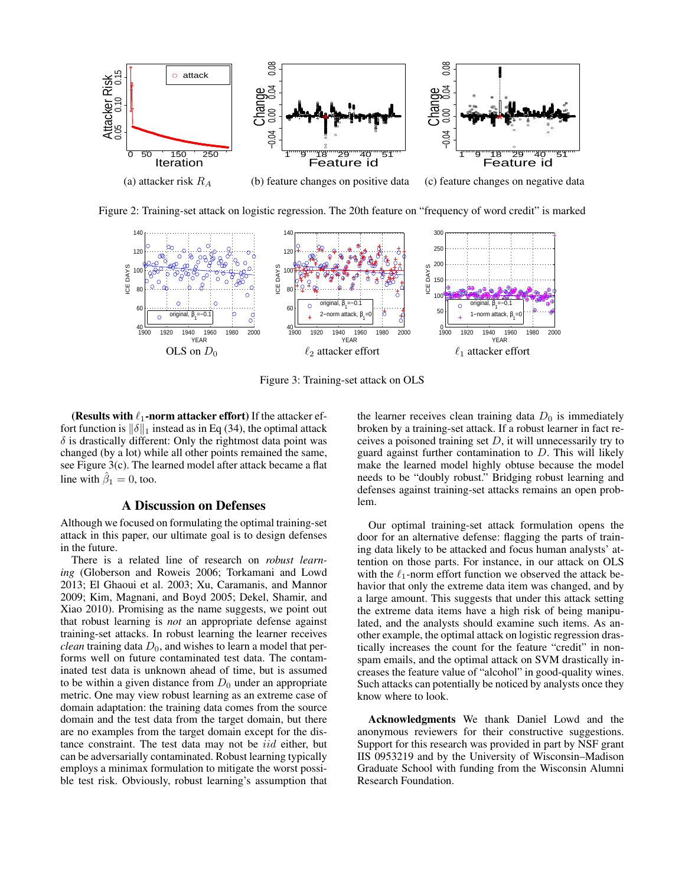

Figure 2: Training-set attack on logistic regression. The 20th feature on "frequency of word credit" is marked



Figure 3: Training-set attack on OLS

(Results with  $\ell_1$ -norm attacker effort) If the attacker effort function is  $\|\delta\|_1$  instead as in Eq (34), the optimal attack  $\delta$  is drastically different: Only the rightmost data point was changed (by a lot) while all other points remained the same, see Figure 3(c). The learned model after attack became a flat line with  $\hat{\beta}_1 = 0$ , too.

# A Discussion on Defenses

Although we focused on formulating the optimal training-set attack in this paper, our ultimate goal is to design defenses in the future.

There is a related line of research on *robust learning* (Globerson and Roweis 2006; Torkamani and Lowd 2013; El Ghaoui et al. 2003; Xu, Caramanis, and Mannor 2009; Kim, Magnani, and Boyd 2005; Dekel, Shamir, and Xiao 2010). Promising as the name suggests, we point out that robust learning is *not* an appropriate defense against training-set attacks. In robust learning the learner receives *clean* training data  $D_0$ , and wishes to learn a model that performs well on future contaminated test data. The contaminated test data is unknown ahead of time, but is assumed to be within a given distance from  $D_0$  under an appropriate metric. One may view robust learning as an extreme case of domain adaptation: the training data comes from the source domain and the test data from the target domain, but there are no examples from the target domain except for the distance constraint. The test data may not be iid either, but can be adversarially contaminated. Robust learning typically employs a minimax formulation to mitigate the worst possible test risk. Obviously, robust learning's assumption that

the learner receives clean training data  $D_0$  is immediately broken by a training-set attack. If a robust learner in fact receives a poisoned training set  $D$ , it will unnecessarily try to guard against further contamination to  $D$ . This will likely make the learned model highly obtuse because the model needs to be "doubly robust." Bridging robust learning and defenses against training-set attacks remains an open problem.

Our optimal training-set attack formulation opens the door for an alternative defense: flagging the parts of training data likely to be attacked and focus human analysts' attention on those parts. For instance, in our attack on OLS with the  $\ell_1$ -norm effort function we observed the attack behavior that only the extreme data item was changed, and by a large amount. This suggests that under this attack setting the extreme data items have a high risk of being manipulated, and the analysts should examine such items. As another example, the optimal attack on logistic regression drastically increases the count for the feature "credit" in nonspam emails, and the optimal attack on SVM drastically increases the feature value of "alcohol" in good-quality wines. Such attacks can potentially be noticed by analysts once they know where to look.

Acknowledgments We thank Daniel Lowd and the anonymous reviewers for their constructive suggestions. Support for this research was provided in part by NSF grant IIS 0953219 and by the University of Wisconsin–Madison Graduate School with funding from the Wisconsin Alumni Research Foundation.